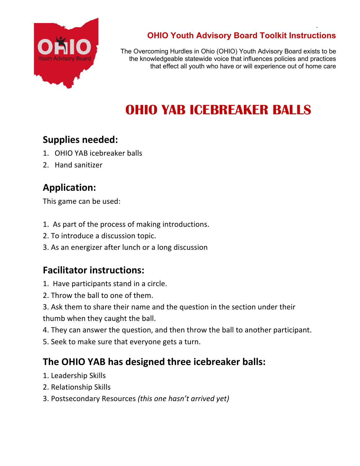

#### **OHIO Youth Advisory Board Toolkit Instructions**

.

The Overcoming Hurdles in Ohio (OHIO) Youth Advisory Board exists to be the knowledgeable statewide voice that influences policies and practices that effect all youth who have or will experience out of home care

# **OHIO YAB ICEBREAKER BALLS**

### **Supplies needed:**

- 1. OHIO YAB icebreaker balls
- 2. Hand sanitizer

## **Application:**

This game can be used:

- 1. As part of the process of making introductions.
- 2. To introduce a discussion topic.
- 3. As an energizer after lunch or a long discussion

## **Facilitator instructions:**

- 1. Have participants stand in a circle.
- 2. Throw the ball to one of them.
- 3. Ask them to share their name and the question in the section under their

thumb when they caught the ball.

- 4. They can answer the question, and then throw the ball to another participant.
- 5. Seek to make sure that everyone gets a turn.

## **The OHIO YAB has designed three icebreaker balls:**

- 1. Leadership Skills
- 2. Relationship Skills
- 3. Postsecondary Resources *(this one hasn't arrived yet)*